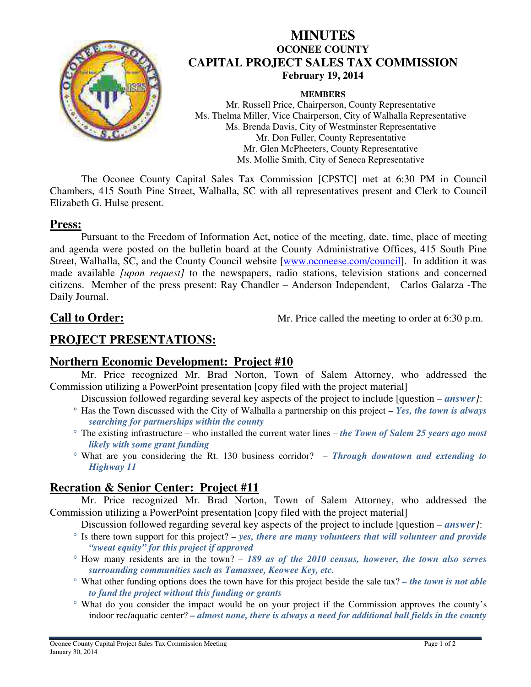

## **MINUTES OCONEE COUNTY CAPITAL PROJECT SALES TAX COMMISSION February 19, 2014**

#### **MEMBERS**

Mr. Russell Price, Chairperson, County Representative Ms. Thelma Miller, Vice Chairperson, City of Walhalla Representative Ms. Brenda Davis, City of Westminster Representative Mr. Don Fuller, County Representative Mr. Glen McPheeters, County Representative Ms. Mollie Smith, City of Seneca Representative

The Oconee County Capital Sales Tax Commission [CPSTC] met at 6:30 PM in Council Chambers, 415 South Pine Street, Walhalla, SC with all representatives present and Clerk to Council Elizabeth G. Hulse present.

#### **Press:**

Pursuant to the Freedom of Information Act, notice of the meeting, date, time, place of meeting and agenda were posted on the bulletin board at the County Administrative Offices, 415 South Pine Street, Walhalla, SC, and the County Council website [www.oconeese.com/council]. In addition it was made available *[upon request]* to the newspapers, radio stations, television stations and concerned citizens. Member of the press present: Ray Chandler – Anderson Independent, Carlos Galarza -The Daily Journal.

**Call to Order:** Mr. Price called the meeting to order at 6:30 p.m.

# **PROJECT PRESENTATIONS:**

### **Northern Economic Development: Project #10**

Mr. Price recognized Mr. Brad Norton, Town of Salem Attorney, who addressed the Commission utilizing a PowerPoint presentation [copy filed with the project material]

- Discussion followed regarding several key aspects of the project to include [question *answer]*:
- Has the Town discussed with the City of Walhalla a partnership on this project *Yes, the town is always searching for partnerships within the county*
- The existing infrastructure who installed the current water lines *the Town of Salem 25 years ago most likely with some grant funding*
- What are you considering the Rt. 130 business corridor? – *Through downtown and extending to Highway 11*

### **Recration & Senior Center: Project #11**

Mr. Price recognized Mr. Brad Norton, Town of Salem Attorney, who addressed the Commission utilizing a PowerPoint presentation [copy filed with the project material]

- Discussion followed regarding several key aspects of the project to include [question *answer]*:
- $\degree$  Is there town support for this project? *yes, there are many volunteers that will volunteer and provide "sweat equity" for this project if approved*
- How many residents are in the town? – *189 as of the 2010 census, however, the town also serves surrounding communities such as Tamassee, Keowee Key, etc.*
- What other funding options does the town have for this project beside the sale tax? *the town is not able to fund the project without this funding or grants*
- What do you consider the impact would be on your project if the Commission approves the county's indoor rec/aquatic center? *– almost none, there is always a need for additional ball fields in the county*